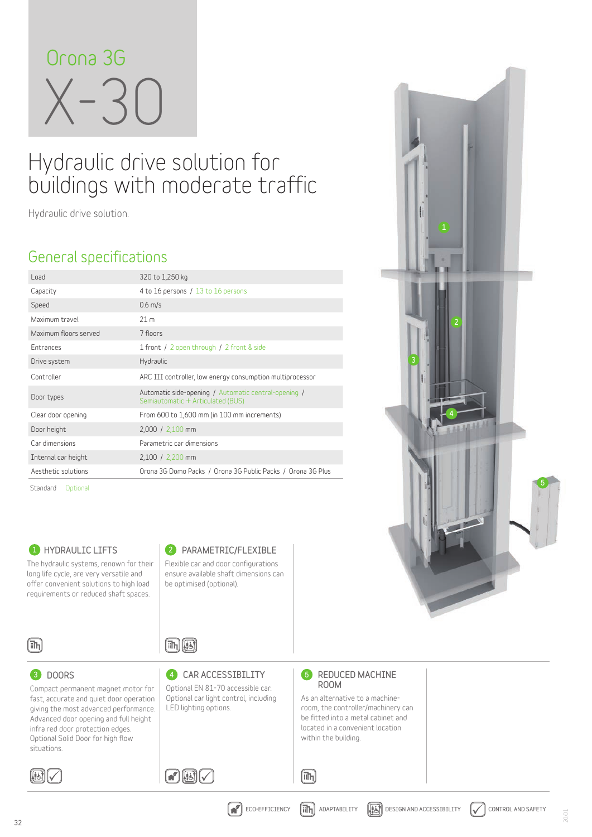

# Hydraulic drive solution for buildings with moderate traffic

**Hydraulic drive solution.**

## **General specifications**

| Load                  | 320 to 1,250 kg                                                                           |  |  |  |  |  |  |
|-----------------------|-------------------------------------------------------------------------------------------|--|--|--|--|--|--|
| Capacity              | 4 to 16 persons / 13 to 16 persons                                                        |  |  |  |  |  |  |
| Speed                 | $0.6$ m/s                                                                                 |  |  |  |  |  |  |
| Maximum travel        | 21 <sub>m</sub>                                                                           |  |  |  |  |  |  |
| Maximum floors served | 7 floors                                                                                  |  |  |  |  |  |  |
| <b>Entrances</b>      | 1 front / 2 open through / 2 front & side                                                 |  |  |  |  |  |  |
| Drive system          | Hydraulic                                                                                 |  |  |  |  |  |  |
| Controller            | ARC III controller, low energy consumption multiprocessor                                 |  |  |  |  |  |  |
| Door types            | Automatic side-opening / Automatic central-opening /<br>Semiautomatic + Articulated (BUS) |  |  |  |  |  |  |
| Clear door opening    | From 600 to 1,600 mm (in 100 mm increments)                                               |  |  |  |  |  |  |
| Door height           | 2,000 / 2,100 mm                                                                          |  |  |  |  |  |  |
| Car dimensions        | Parametric car dimensions                                                                 |  |  |  |  |  |  |
| Internal car height   | 2,100 / 2,200 mm                                                                          |  |  |  |  |  |  |
| Aesthetic solutions   | Orona 3G Domo Packs / Orona 3G Public Packs / Orona 3G Plus                               |  |  |  |  |  |  |
| Standard<br>Optional  |                                                                                           |  |  |  |  |  |  |

**1** HYDRAULIC LIFTS 2

**The hydraulic systems, renown for their long life cycle, are very versatile and offer convenient solutions to high load requirements or reduced shaft spaces.**

**Compact permanent magnet motor for fast, accurate and quiet door operation giving the most advanced performance. Advanced door opening and full height infra red door protection edges. Optional Solid Door for high flow** 

#### 2 PARAMETRIC/FLEXIBLE

**Flexible car and door configurations ensure available shaft dimensions can be optimised (optional).**



8 DOORS

## $\textcolor{blue}{\textbf{[m]}}\textcolor{blue}{\textbf{[k]}}$

 $\Omega$  $\boxplus$ 

3 DOORS GAR ACCESSIBILITY 16 **Optional EN 81-70 accessible car. Optional car light control, including LED lighting options.**

### **6** REDUCED MACHINE ROOM

 $[{\mathbb{m}}_1]$ 

**As an alternative to a machineroom, the controller/machinery can be fitted into a metal cabinet and located in a convenient location within the building.** 





**situations.**

20/01